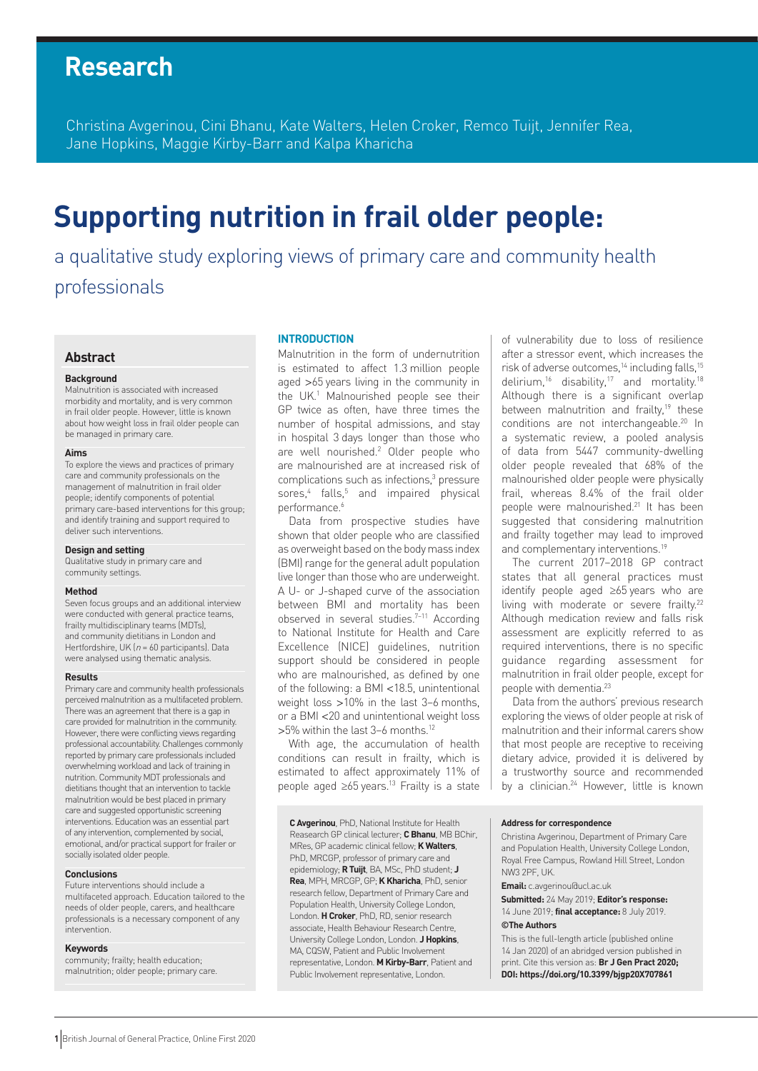## **Research**

Christina Avgerinou, Cini Bhanu, Kate Walters, Helen Croker, Remco Tuijt, Jennifer Rea, Jane Hopkins, Maggie Kirby-Barr and Kalpa Kharicha

# **Supporting nutrition in frail older people:**

a qualitative study exploring views of primary care and community health professionals

## **Abstract**

#### **Background**

Malnutrition is associated with increased morbidity and mortality, and is very common in frail older people. However, little is known about how weight loss in frail older people can be managed in primary care.

#### **Aims**

To explore the views and practices of primary care and community professionals on the management of malnutrition in frail older people; identify components of potential primary care-based interventions for this group; and identify training and support required to deliver such interventions.

#### **Design and setting**

Qualitative study in primary care and community settings.

#### **Method**

Seven focus groups and an additional interview were conducted with general practice teams, frailty multidisciplinary teams (MDTs), and community dietitians in London and Hertfordshire, UK ( $n = 60$  participants). Data were analysed using thematic analysis.

#### **Results**

Primary care and community health professionals perceived malnutrition as a multifaceted problem. There was an agreement that there is a gap in care provided for malnutrition in the community. However, there were conflicting views regarding professional accountability. Challenges commonly reported by primary care professionals included overwhelming workload and lack of training in nutrition. Community MDT professionals and dietitians thought that an intervention to tackle malnutrition would be best placed in primary care and suggested opportunistic screening interventions. Education was an essential part of any intervention, complemented by social, emotional, and/or practical support for frailer or socially isolated older people.

#### **Conclusions**

Future interventions should include a multifaceted approach. Education tailored to the needs of older people, carers, and healthcare professionals is a necessary component of any intervention.

#### **Keywords**

community; frailty; health education; malnutrition; older people; primary care.

#### **INTRODUCTION**

Malnutrition in the form of undernutrition is estimated to affect 1.3 million people aged >65 years living in the community in the UK.<sup>1</sup> Malnourished people see their GP twice as often, have three times the number of hospital admissions, and stay in hospital 3 days longer than those who are well nourished.2 Older people who are malnourished are at increased risk of complications such as infections,<sup>3</sup> pressure sores,<sup>4</sup> falls,<sup>5</sup> and impaired physical performance.<sup>6</sup>

Data from prospective studies have shown that older people who are classified as overweight based on the body mass index (BMI) range for the general adult population live longer than those who are underweight. A U- or J-shaped curve of the association between BMI and mortality has been observed in several studies.<sup>7-11</sup> According to National Institute for Health and Care Excellence (NICE) guidelines, nutrition support should be considered in people who are malnourished, as defined by one of the following: a BMI <18.5, unintentional weight loss >10% in the last 3–6 months, or a BMI <20 and unintentional weight loss >5% within the last 3–6 months.12

With age, the accumulation of health conditions can result in frailty, which is estimated to affect approximately 11% of people aged ≥65 years.13 Frailty is a state

**C Avgerinou**, PhD, National Institute for Health Reasearch GP clinical lecturer; **CBhanu**, MB BChir, MRes, GP academic clinical fellow; **K Walters**, PhD, MRCGP, professor of primary care and epidemiology; **R Tuijt**, BA, MSc, PhD student; **J Rea**, MPH, MRCGP, GP; **K Kharicha**, PhD, senior research fellow, Department of Primary Care and Population Health, University College London, London. **H Croker**, PhD, RD, senior research associate, Health Behaviour Research Centre, University College London, London. **J Hopkins**, MA, CQSW, Patient and Public Involvement representative, London. **M Kirby-Barr**, Patient and Public Involvement representative, London.

of vulnerability due to loss of resilience after a stressor event, which increases the risk of adverse outcomes,<sup>14</sup> including falls,<sup>15</sup> delirium,<sup>16</sup> disability,<sup>17</sup> and mortality.<sup>18</sup> Although there is a significant overlap between malnutrition and frailty,<sup>19</sup> these conditions are not interchangeable.20 In a systematic review, a pooled analysis of data from 5447 community-dwelling older people revealed that 68% of the malnourished older people were physically frail, whereas 8.4% of the frail older people were malnourished.<sup>21</sup> It has been suggested that considering malnutrition and frailty together may lead to improved and complementary interventions.<sup>19</sup>

The current 2017–2018 GP contract states that all general practices must identify people aged ≥65 years who are living with moderate or severe frailty.22 Although medication review and falls risk assessment are explicitly referred to as required interventions, there is no specific guidance regarding assessment for malnutrition in frail older people, except for people with dementia.<sup>23</sup>

Data from the authors' previous research exploring the views of older people at risk of malnutrition and their informal carers show that most people are receptive to receiving dietary advice, provided it is delivered by a trustworthy source and recommended by a clinician.<sup>24</sup> However, little is known

#### **Address for correspondence**

Christina Avgerinou, Department of Primary Care and Population Health, University College London, Royal Free Campus, Rowland Hill Street, London NW3 2PF, UK.

**Email:** c.avgerinou@ucl.ac.uk

**Submitted:** 24 May 2019; **Editor's response:**  14 June 2019; **final acceptance:** 8 July 2019. **©The Authors**

This is the full-length article (published online 14 Jan 2020) of an abridged version published in print. Cite this version as: **Br J Gen Pract 2020; DOI: https://doi.org/10.3399/bjgp20X707861**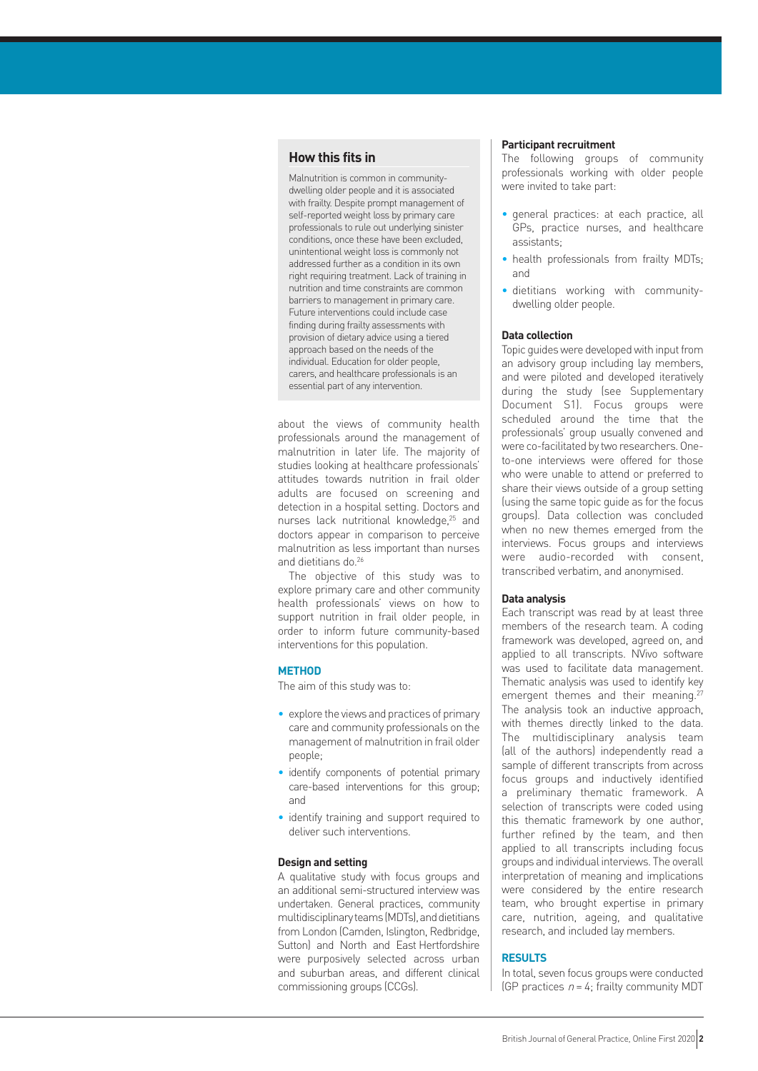## **How this fits in**

Malnutrition is common in communitydwelling older people and it is associated with frailty. Despite prompt management of self-reported weight loss by primary care professionals to rule out underlying sinister conditions, once these have been excluded, unintentional weight loss is commonly not addressed further as a condition in its own right requiring treatment. Lack of training in nutrition and time constraints are common barriers to management in primary care. Future interventions could include case finding during frailty assessments with provision of dietary advice using a tiered approach based on the needs of the individual. Education for older people, carers, and healthcare professionals is an essential part of any intervention.

about the views of community health professionals around the management of malnutrition in later life. The majority of studies looking at healthcare professionals' attitudes towards nutrition in frail older adults are focused on screening and detection in a hospital setting. Doctors and nurses lack nutritional knowledge,<sup>25</sup> and doctors appear in comparison to perceive malnutrition as less important than nurses and dietitians do.26

The objective of this study was to explore primary care and other community health professionals' views on how to support nutrition in frail older people, in order to inform future community-based interventions for this population.

#### **METHOD**

The aim of this study was to:

- explore the views and practices of primary care and community professionals on the management of malnutrition in frail older people;
- identify components of potential primary care-based interventions for this group; and
- identify training and support required to deliver such interventions.

#### **Design and setting**

A qualitative study with focus groups and an additional semi-structured interview was undertaken. General practices, community multidisciplinary teams (MDTs), and dietitians from London (Camden, Islington, Redbridge, Sutton) and North and East Hertfordshire were purposively selected across urban and suburban areas, and different clinical commissioning groups (CCGs).

#### **Participant recruitment**

The following groups of community professionals working with older people were invited to take part:

- general practices: at each practice, all GPs, practice nurses, and healthcare assistants;
- health professionals from frailty MDTs; and
- dietitians working with communitydwelling older people.

#### **Data collection**

Topic guides were developed with input from an advisory group including lay members, and were piloted and developed iteratively during the study (see Supplementary Document S1). Focus groups were scheduled around the time that the professionals' group usually convened and were co-facilitated by two researchers. Oneto-one interviews were offered for those who were unable to attend or preferred to share their views outside of a group setting (using the same topic guide as for the focus groups). Data collection was concluded when no new themes emerged from the interviews. Focus groups and interviews were audio-recorded with consent, transcribed verbatim, and anonymised.

#### **Data analysis**

Each transcript was read by at least three members of the research team. A coding framework was developed, agreed on, and applied to all transcripts. NVivo software was used to facilitate data management. Thematic analysis was used to identify key emergent themes and their meaning.<sup>27</sup> The analysis took an inductive approach, with themes directly linked to the data. The multidisciplinary analysis team (all of the authors) independently read a sample of different transcripts from across focus groups and inductively identified a preliminary thematic framework. A selection of transcripts were coded using this thematic framework by one author, further refined by the team, and then applied to all transcripts including focus groups and individual interviews. The overall interpretation of meaning and implications were considered by the entire research team, who brought expertise in primary care, nutrition, ageing, and qualitative research, and included lay members.

## **RESULTS**

In total, seven focus groups were conducted (GP practices  $n = 4$ ; frailty community MDT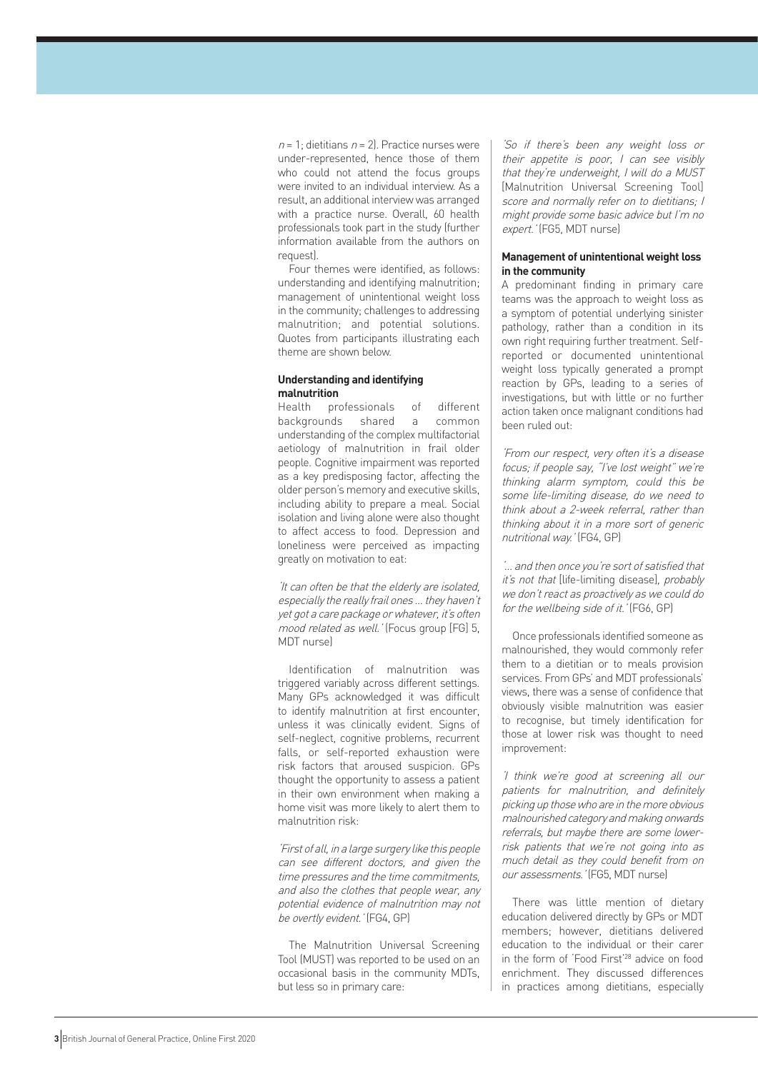$n = 1$ ; dietitians  $n = 2$ ). Practice nurses were under-represented, hence those of them who could not attend the focus groups were invited to an individual interview. As a result, an additional interview was arranged with a practice nurse. Overall, 60 health professionals took part in the study (further information available from the authors on **request** 

Four themes were identified, as follows: understanding and identifying malnutrition; management of unintentional weight loss in the community; challenges to addressing malnutrition; and potential solutions. Quotes from participants illustrating each theme are shown below.

#### **Understanding and identifying malnutrition**

Health professionals of different backgrounds shared a common understanding of the complex multifactorial aetiology of malnutrition in frail older people. Cognitive impairment was reported as a key predisposing factor, affecting the older person's memory and executive skills, including ability to prepare a meal. Social isolation and living alone were also thought to affect access to food. Depression and loneliness were perceived as impacting greatly on motivation to eat:

'It can often be that the elderly are isolated, especially the really frail ones … they haven't yet got a care package or whatever, it's often mood related as well.' (Focus group [FG] 5, MDT nurse)

Identification of malnutrition was triggered variably across different settings. Many GPs acknowledged it was difficult to identify malnutrition at first encounter, unless it was clinically evident. Signs of self-neglect, cognitive problems, recurrent falls, or self-reported exhaustion were risk factors that aroused suspicion. GPs thought the opportunity to assess a patient in their own environment when making a home visit was more likely to alert them to malnutrition risk:

'First of all, in a large surgery like this people can see different doctors, and given the time pressures and the time commitments, and also the clothes that people wear, any potential evidence of malnutrition may not be overtly evident.' (FG4, GP)

The Malnutrition Universal Screening Tool (MUST) was reported to be used on an occasional basis in the community MDTs, but less so in primary care:

'So if there's been any weight loss or their appetite is poor, I can see visibly that they're underweight, I will do a MUST [Malnutrition Universal Screening Tool] score and normally refer on to dietitians; I might provide some basic advice but I'm no expert.' (FG5, MDT nurse)

### **Management of unintentional weight loss in the community**

A predominant finding in primary care teams was the approach to weight loss as a symptom of potential underlying sinister pathology, rather than a condition in its own right requiring further treatment. Selfreported or documented unintentional weight loss typically generated a prompt reaction by GPs, leading to a series of investigations, but with little or no further action taken once malignant conditions had been ruled out:

'From our respect, very often it's a disease focus; if people say, "I've lost weight" we're thinking alarm symptom, could this be some life-limiting disease, do we need to think about a 2-week referral, rather than thinking about it in a more sort of generic nutritional way.' (FG4, GP)

'… and then once you're sort of satisfied that it's not that [life-limiting disease], probably we don't react as proactively as we could do for the wellbeing side of it.' (FG6, GP)

Once professionals identified someone as malnourished, they would commonly refer them to a dietitian or to meals provision services. From GPs' and MDT professionals' views, there was a sense of confidence that obviously visible malnutrition was easier to recognise, but timely identification for those at lower risk was thought to need improvement:

'I think we're good at screening all our patients for malnutrition, and definitely picking up those who are in the more obvious malnourished category and making onwards referrals, but maybe there are some lowerrisk patients that we're not going into as much detail as they could benefit from on our assessments.' (FG5, MDT nurse)

There was little mention of dietary education delivered directly by GPs or MDT members; however, dietitians delivered education to the individual or their carer in the form of 'Food First'28 advice on food enrichment. They discussed differences in practices among dietitians, especially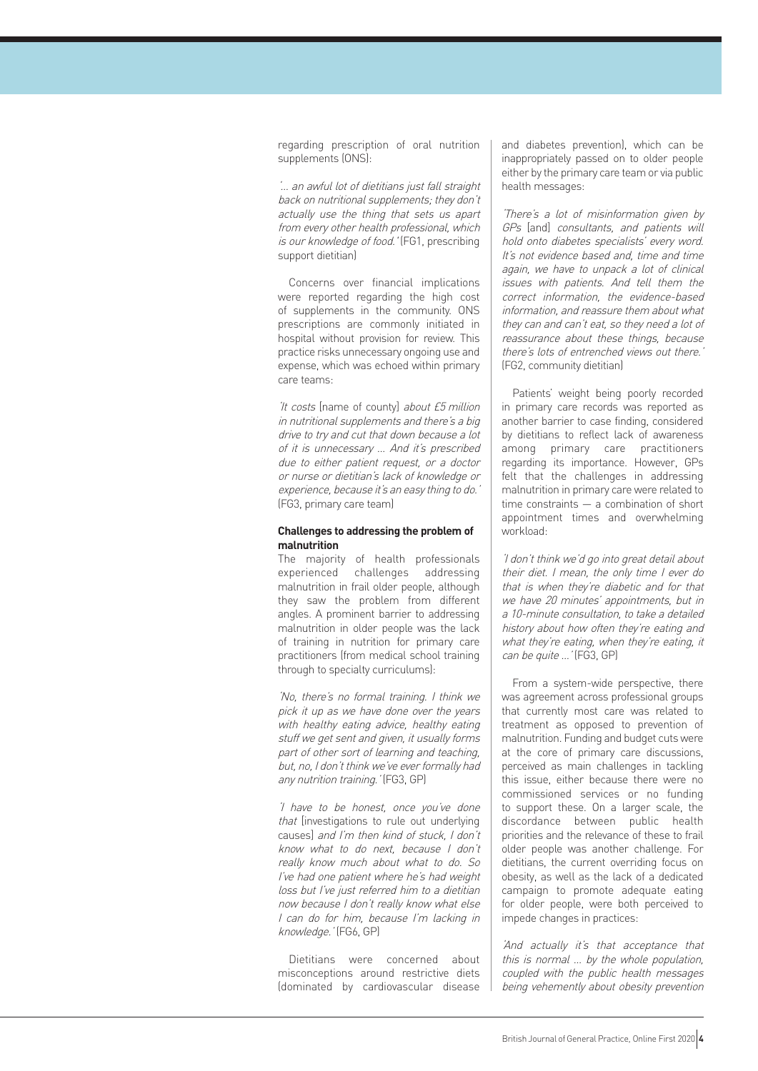regarding prescription of oral nutrition supplements (ONS):

'… an awful lot of dietitians just fall straight back on nutritional supplements; they don't actually use the thing that sets us apart from every other health professional, which is our knowledge of food.' (FG1, prescribing support dietitian)

Concerns over financial implications were reported regarding the high cost of supplements in the community. ONS prescriptions are commonly initiated in hospital without provision for review. This practice risks unnecessary ongoing use and expense, which was echoed within primary care teams:

'It costs [name of county] about £5 million in nutritional supplements and there's a big drive to try and cut that down because a lot of it is unnecessary … And it's prescribed due to either patient request, or a doctor or nurse or dietitian's lack of knowledge or experience, because it's an easy thing to do.' (FG3, primary care team)

#### **Challenges to addressing the problem of malnutrition**

The majority of health professionals experienced challenges addressing malnutrition in frail older people, although they saw the problem from different angles. A prominent barrier to addressing malnutrition in older people was the lack of training in nutrition for primary care practitioners (from medical school training through to specialty curriculums):

'No, there's no formal training. I think we pick it up as we have done over the years with healthy eating advice, healthy eating stuff we get sent and given, it usually forms part of other sort of learning and teaching, but, no, I don't think we've ever formally had any nutrition training.' (FG3, GP)

'I have to be honest, once you've done that linvestigations to rule out underlying causes] and I'm then kind of stuck, I don't know what to do next, because I don't really know much about what to do. So I've had one patient where he's had weight loss but I've just referred him to a dietitian now because I don't really know what else I can do for him, because I'm lacking in knowledge.' (FG6, GP)

Dietitians were concerned about misconceptions around restrictive diets (dominated by cardiovascular disease and diabetes prevention), which can be inappropriately passed on to older people either by the primary care team or via public health messages:

'There's a lot of misinformation given by GPs [and] consultants, and patients will hold onto diabetes specialists' every word. It's not evidence based and, time and time again, we have to unpack a lot of clinical issues with patients. And tell them the correct information, the evidence-based information, and reassure them about what they can and can't eat, so they need a lot of reassurance about these things, because there's lots of entrenched views out there.' (FG2, community dietitian)

Patients' weight being poorly recorded in primary care records was reported as another barrier to case finding, considered by dietitians to reflect lack of awareness among primary care practitioners regarding its importance. However, GPs felt that the challenges in addressing malnutrition in primary care were related to time constraints — a combination of short appointment times and overwhelming workload:

'I don't think we'd go into great detail about their diet. I mean, the only time I ever do that is when they're diabetic and for that we have 20 minutes' appointments, but in a 10-minute consultation, to take a detailed history about how often they're eating and what they're eating, when they're eating, it can be quite ...' (FG3, GP)

From a system-wide perspective, there was agreement across professional groups that currently most care was related to treatment as opposed to prevention of malnutrition. Funding and budget cuts were at the core of primary care discussions, perceived as main challenges in tackling this issue, either because there were no commissioned services or no funding to support these. On a larger scale, the discordance between public health priorities and the relevance of these to frail older people was another challenge. For dietitians, the current overriding focus on obesity, as well as the lack of a dedicated campaign to promote adequate eating for older people, were both perceived to impede changes in practices:

'And actually it's that acceptance that this is normal … by the whole population, coupled with the public health messages being vehemently about obesity prevention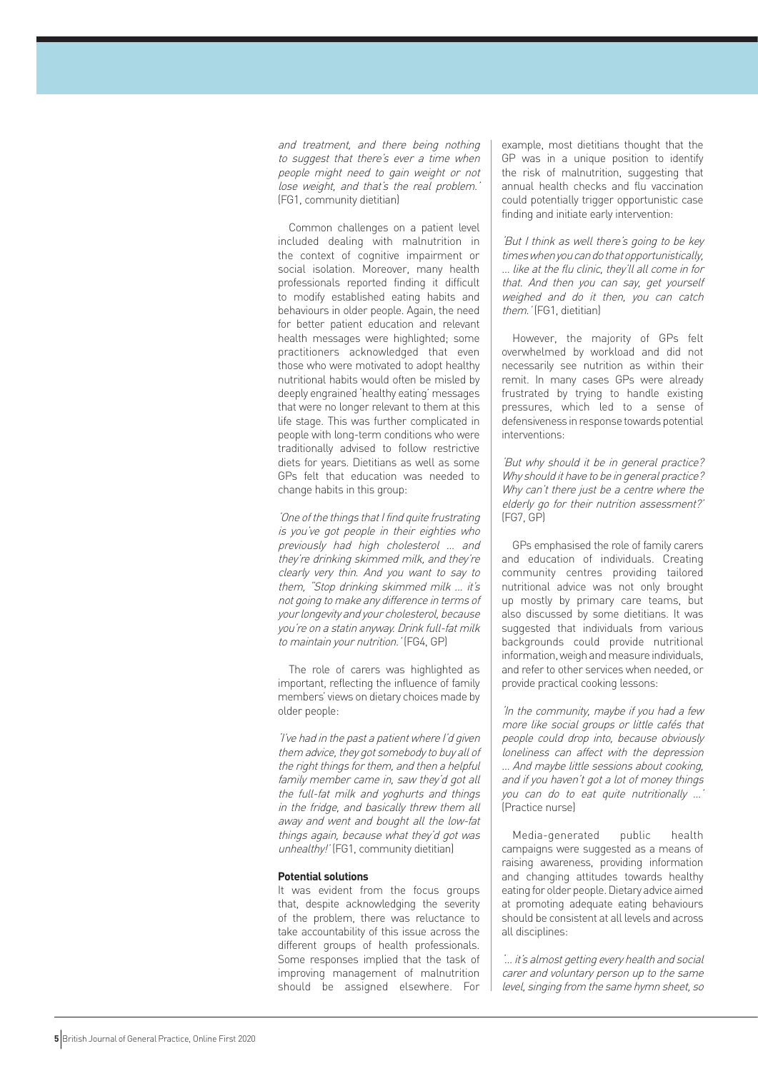and treatment, and there being nothing to suggest that there's ever a time when people might need to gain weight or not lose weight, and that's the real problem.' (FG1, community dietitian)

Common challenges on a patient level included dealing with malnutrition in the context of cognitive impairment or social isolation. Moreover, many health professionals reported finding it difficult to modify established eating habits and behaviours in older people. Again, the need for better patient education and relevant health messages were highlighted; some practitioners acknowledged that even those who were motivated to adopt healthy nutritional habits would often be misled by deeply engrained 'healthy eating' messages that were no longer relevant to them at this life stage. This was further complicated in people with long-term conditions who were traditionally advised to follow restrictive diets for years. Dietitians as well as some GPs felt that education was needed to change habits in this group:

'One of the things that I find quite frustrating is you've got people in their eighties who previously had high cholesterol … and they're drinking skimmed milk, and they're clearly very thin. And you want to say to them, "Stop drinking skimmed milk … it's not going to make any difference in terms of your longevity and your cholesterol, because you're on a statin anyway. Drink full-fat milk to maintain your nutrition.' (FG4, GP)

The role of carers was highlighted as important, reflecting the influence of family members' views on dietary choices made by older people:

'I've had in the past a patient where I'd given them advice, they got somebody to buy all of the right things for them, and then a helpful family member came in, saw they'd got all the full-fat milk and yoghurts and things in the fridge, and basically threw them all away and went and bought all the low-fat things again, because what they'd got was unhealthy!' (FG1, community dietitian)

#### **Potential solutions**

It was evident from the focus groups that, despite acknowledging the severity of the problem, there was reluctance to take accountability of this issue across the different groups of health professionals. Some responses implied that the task of improving management of malnutrition should be assigned elsewhere. For example, most dietitians thought that the GP was in a unique position to identify the risk of malnutrition, suggesting that annual health checks and flu vaccination could potentially trigger opportunistic case finding and initiate early intervention:

'But I think as well there's going to be key times when you can do that opportunistically, … like at the flu clinic, they'll all come in for that. And then you can say, get yourself weighed and do it then, you can catch them.' (FG1, dietitian)

However, the majority of GPs felt overwhelmed by workload and did not necessarily see nutrition as within their remit. In many cases GPs were already frustrated by trying to handle existing pressures, which led to a sense of defensiveness in response towards potential interventions:

'But why should it be in general practice? Why should it have to be in general practice? Why can't there just be a centre where the elderly go for their nutrition assessment?' (FG7, GP)

GPs emphasised the role of family carers and education of individuals. Creating community centres providing tailored nutritional advice was not only brought up mostly by primary care teams, but also discussed by some dietitians. It was suggested that individuals from various backgrounds could provide nutritional information, weigh and measure individuals, and refer to other services when needed, or provide practical cooking lessons:

'In the community, maybe if you had a few more like social groups or little cafés that people could drop into, because obviously loneliness can affect with the depression … And maybe little sessions about cooking, and if you haven't got a lot of money things you can do to eat quite nutritionally …' (Practice nurse)

Media-generated public health campaigns were suggested as a means of raising awareness, providing information and changing attitudes towards healthy eating for older people. Dietary advice aimed at promoting adequate eating behaviours should be consistent at all levels and across all disciplines:

'… it's almost getting every health and social carer and voluntary person up to the same level, singing from the same hymn sheet, so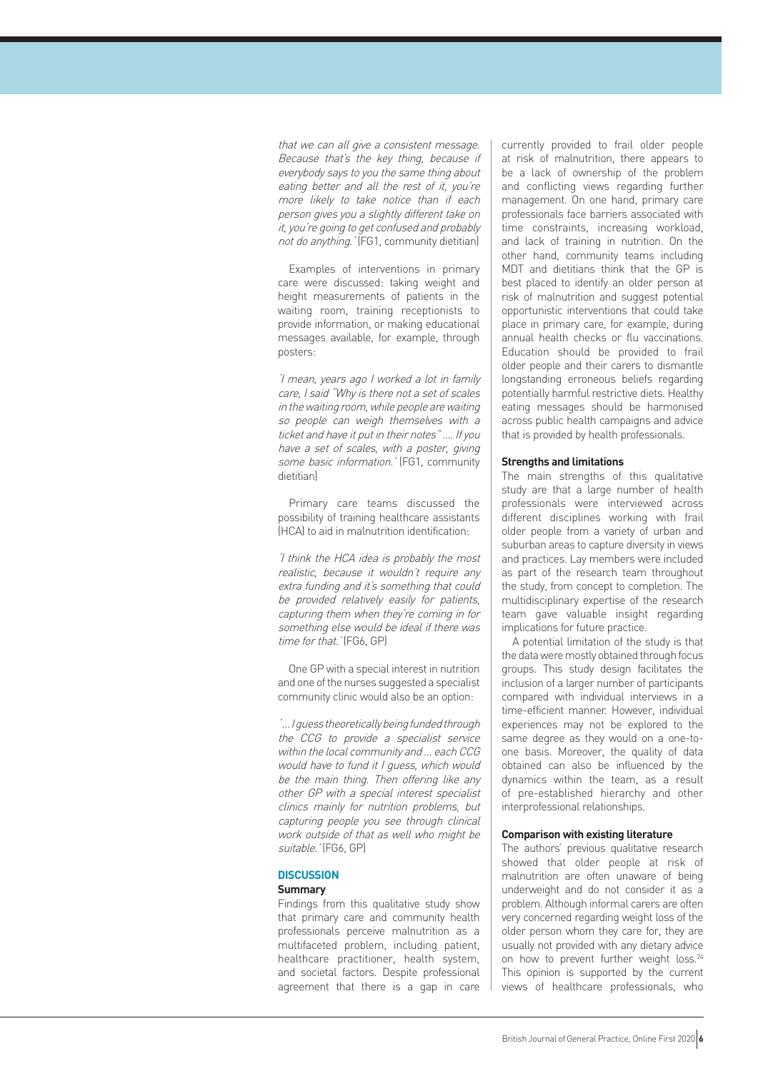that we can all give a consistent message. Because that's the key thing, because if everybody says to you the same thing about eating better and all the rest of it, you're more likely to take notice than if each person gives you a slightly different take on it, you're going to get confused and probably not do anything.' (FG1, community dietitian)

Examples of interventions in primary care were discussed: taking weight and height measurements of patients in the waiting room, training receptionists to provide information, or making educational messages available, for example, through posters:

'I mean, years ago I worked a lot in family care, I said "Why is there not a set of scales in the waiting room, while people are waiting so people can weigh themselves with a ticket and have it put in their notes" …. If you have a set of scales, with a poster, giving some basic information.' (FG1, community dietitian)

Primary care teams discussed the possibility of training healthcare assistants (HCA) to aid in malnutrition identification:

'I think the HCA idea is probably the most realistic, because it wouldn't require any extra funding and it's something that could be provided relatively easily for patients, capturing them when they're coming in for something else would be ideal if there was time for that.' (FG6, GP)

One GP with a special interest in nutrition and one of the nurses suggested a specialist community clinic would also be an option:

' … I guess theoretically being funded through the CCG to provide a specialist service within the local community and ... each CCG would have to fund it I guess, which would be the main thing. Then offering like any other GP with a special interest specialist clinics mainly for nutrition problems, but capturing people you see through clinical work outside of that as well who might be suitable.' (FG6, GP)

## **DISCUSSION**

## **Summary**

Findings from this qualitative study show that primary care and community health professionals perceive malnutrition as a multifaceted problem, including patient, healthcare practitioner, health system, and societal factors. Despite professional agreement that there is a gap in care currently provided to frail older people at risk of malnutrition, there appears to be a lack of ownership of the problem and conflicting views regarding further management. On one hand, primary care professionals face barriers associated with time constraints, increasing workload, and lack of training in nutrition. On the other hand, community teams including MDT and dietitians think that the GP is best placed to identify an older person at risk of malnutrition and suggest potential opportunistic interventions that could take place in primary care, for example, during annual health checks or flu vaccinations. Education should be provided to frail older people and their carers to dismantle longstanding erroneous beliefs regarding potentially harmful restrictive diets. Healthy eating messages should be harmonised across public health campaigns and advice that is provided by health professionals.

#### **Strengths and limitations**

The main strengths of this qualitative study are that a large number of health professionals were interviewed across different disciplines working with frail older people from a variety of urban and suburban areas to capture diversity in views and practices. Lay members were included as part of the research team throughout the study, from concept to completion. The multidisciplinary expertise of the research team gave valuable insight regarding implications for future practice.

A potential limitation of the study is that the data were mostly obtained through focus groups. This study design facilitates the inclusion of a larger number of participants compared with individual interviews in a time-efficient manner. However, individual experiences may not be explored to the same degree as they would on a one-toone basis. Moreover, the quality of data obtained can also be influenced by the dynamics within the team, as a result of pre-established hierarchy and other interprofessional relationships.

#### **Comparison with existing literature**

The authors' previous qualitative research showed that older people at risk of malnutrition are often unaware of being underweight and do not consider it as a problem. Although informal carers are often very concerned regarding weight loss of the older person whom they care for, they are usually not provided with any dietary advice on how to prevent further weight loss.<sup>24</sup> This opinion is supported by the current views of healthcare professionals, who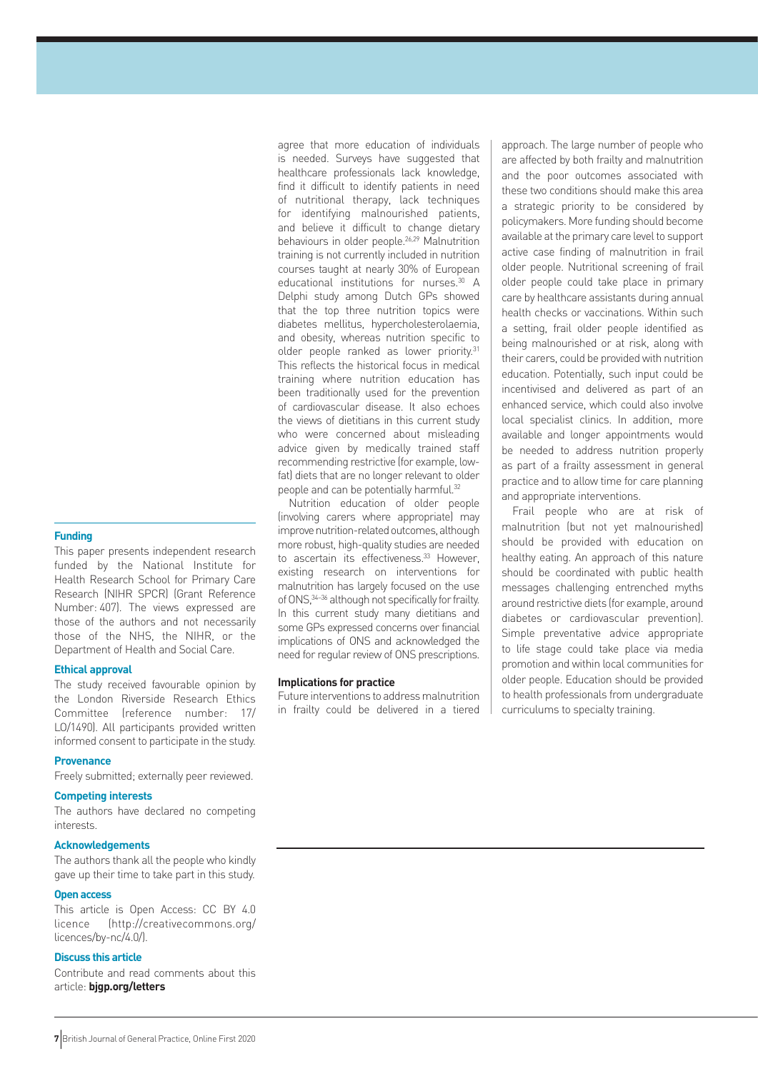#### **Funding**

This paper presents independent research funded by the National Institute for Health Research School for Primary Care Research (NIHR SPCR) (Grant Reference Number: 407). The views expressed are those of the authors and not necessarily those of the NHS, the NIHR, or the Department of Health and Social Care.

#### **Ethical approval**

The study received favourable opinion by the London Riverside Research Ethics Committee (reference number: 17/ LO/1490). All participants provided written informed consent to participate in the study.

#### **Provenance**

Freely submitted; externally peer reviewed.

## **Competing interests**

The authors have declared no competing interests.

#### **Acknowledgements**

The authors thank all the people who kindly gave up their time to take part in this study.

#### **Open access**

This article is Open Access: CC BY 4.0 licence (http://creativecommons.org/ licences/by-nc/4.0/).

## **Discuss this article**

Contribute and read comments about this article: **bjgp.org/letters**

agree that more education of individuals is needed. Surveys have suggested that healthcare professionals lack knowledge, find it difficult to identify patients in need of nutritional therapy, lack techniques for identifying malnourished patients, and believe it difficult to change dietary behaviours in older people.26,29 Malnutrition training is not currently included in nutrition courses taught at nearly 30% of European educational institutions for nurses.<sup>30</sup> A Delphi study among Dutch GPs showed that the top three nutrition topics were diabetes mellitus, hypercholesterolaemia, and obesity, whereas nutrition specific to older people ranked as lower priority.<sup>31</sup> This reflects the historical focus in medical training where nutrition education has been traditionally used for the prevention of cardiovascular disease. It also echoes the views of dietitians in this current study who were concerned about misleading advice given by medically trained staff recommending restrictive (for example, lowfat) diets that are no longer relevant to older people and can be potentially harmful.<sup>32</sup>

Nutrition education of older people (involving carers where appropriate) may improve nutrition-related outcomes, although more robust, high-quality studies are needed to ascertain its effectiveness.<sup>33</sup> However, existing research on interventions for malnutrition has largely focused on the use of ONS,34–36 although not specifically for frailty. In this current study many dietitians and some GPs expressed concerns over financial implications of ONS and acknowledged the need for regular review of ONS prescriptions.

#### **Implications for practice**

Future interventions to address malnutrition in frailty could be delivered in a tiered approach. The large number of people who are affected by both frailty and malnutrition and the poor outcomes associated with these two conditions should make this area a strategic priority to be considered by policymakers. More funding should become available at the primary care level to support active case finding of malnutrition in frail older people. Nutritional screening of frail older people could take place in primary care by healthcare assistants during annual health checks or vaccinations. Within such a setting, frail older people identified as being malnourished or at risk, along with their carers, could be provided with nutrition education. Potentially, such input could be incentivised and delivered as part of an enhanced service, which could also involve local specialist clinics. In addition, more available and longer appointments would be needed to address nutrition properly as part of a frailty assessment in general practice and to allow time for care planning and appropriate interventions.

Frail people who are at risk of malnutrition (but not yet malnourished) should be provided with education on healthy eating. An approach of this nature should be coordinated with public health messages challenging entrenched myths around restrictive diets (for example, around diabetes or cardiovascular prevention). Simple preventative advice appropriate to life stage could take place via media promotion and within local communities for older people. Education should be provided to health professionals from undergraduate curriculums to specialty training.